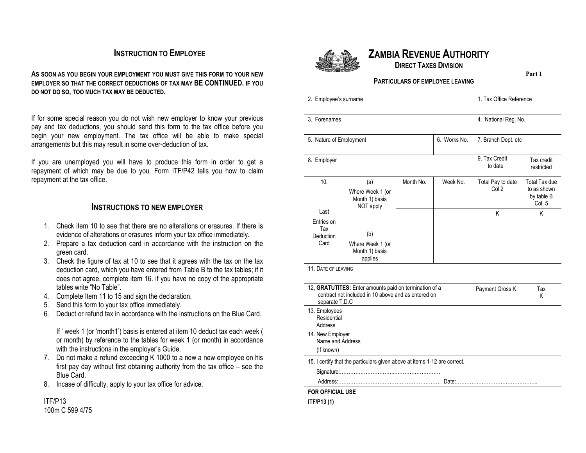## **INSTRUCTION TO EMPLOYEE**

**AS SOON AS YOU BEGIN YOUR EMPLOYMENT YOU MUST GIVE THIS FORM TO YOUR NEW EMPLOYER SO THAT THE CORRECT DEDUCTIONS OF TAX MAY BE CONTINUED. IF YOU DO NOT DO SO, TOO MUCH TAX MAY BE DEDUCTED.** 

If for some special reason you do not wish new employer to know your previous pay and tax deductions, you should send this form to the tax office before you begin your new employment. The tax office will be able to make special arrangements but this may result in some over-deduction of tax.

If you are unemployed you will have to produce this form in order to get a repayment of which may be due to you. Form ITF/P42 tells you how to claim repayment at the tax office.

#### **INSTRUCTIONS TO NEW EMPLOYER**

- 1. Check item 10 to see that there are no alterations or erasures. If there is evidence of alterations or erasures inform your tax office immediately.
- 2. Prepare a tax deduction card in accordance with the instruction on the green card.
- 3. Check the figure of tax at 10 to see that it agrees with the tax on the tax deduction card, which you have entered from Table B to the tax tables; if it does not agree, complete item 16. if you have no copy of the appropriate tables write "No Table".
- 4. Complete Item 11 to 15 and sign the declaration.
- 5. Send this form to your tax office immediately.
- 6. Deduct or refund tax in accordance with the instructions on the Blue Card.

If ' week 1 (or 'month1') basis is entered at item 10 deduct tax each week ( or month) by reference to the tables for week 1 (or month) in accordance with the instructions in the employer's Guide.

- 7. Do not make a refund exceeding K 1000 to a new a new employee on his first pay day without first obtaining authority from the tax office – see the Blue Card.
- 8. Incase of difficulty, apply to your tax office for advice.

#### ITF/P13 100m C 599 4/75



# **ZAMBIA REVENUE AUTHORITY**

**DIRECT TAXES DIVISION**

**Part 1**

#### **PARTICULARS OF EMPLOYEE LEAVING**

| 2. Employee's surname                          |                                                        |           |                          | 1. Tax Office Reference    |                                                      |
|------------------------------------------------|--------------------------------------------------------|-----------|--------------------------|----------------------------|------------------------------------------------------|
| 3. Forenames                                   |                                                        |           |                          | 4. National Reg. No.       |                                                      |
| Works No.<br>6.<br>5. Nature of Employment     |                                                        |           |                          | 7. Branch Dept. etc        |                                                      |
| 8. Employer                                    |                                                        |           | 9. Tax Credit<br>to date | Tax credit<br>restricted   |                                                      |
| 10.                                            | (a)<br>Where Week 1 (or<br>Month 1) basis<br>NOT apply | Month No. | Week No.                 | Total Pay to date<br>Col.2 | Total Tax due<br>to as shown<br>by table B<br>Col. 5 |
| Last<br>Entries on<br>Tax<br>Deduction<br>Card |                                                        |           |                          | K                          | K                                                    |
|                                                | (b)<br>Where Week 1 (or<br>Month 1) basis<br>applies   |           |                          |                            |                                                      |

11. DATE OF LEAVING

| 12. <b>GRATUTITES:</b> Enter amounts paid on termination of a<br>contract not included in 10 above and as entered on<br>separate T.D.C | Payment Gross K | Tax<br>Κ |
|----------------------------------------------------------------------------------------------------------------------------------------|-----------------|----------|
| 13. Employees<br>Residential<br>Address                                                                                                |                 |          |
| 14. New Employer<br>Name and Address<br>(If known)                                                                                     |                 |          |
| 15. I certify that the particulars given above at items 1-12 are correct.                                                              |                 |          |
|                                                                                                                                        |                 |          |
| Date:.                                                                                                                                 |                 |          |
| <b>FOR OFFICIAL USE</b>                                                                                                                |                 |          |
| ITF/P13 (1)                                                                                                                            |                 |          |